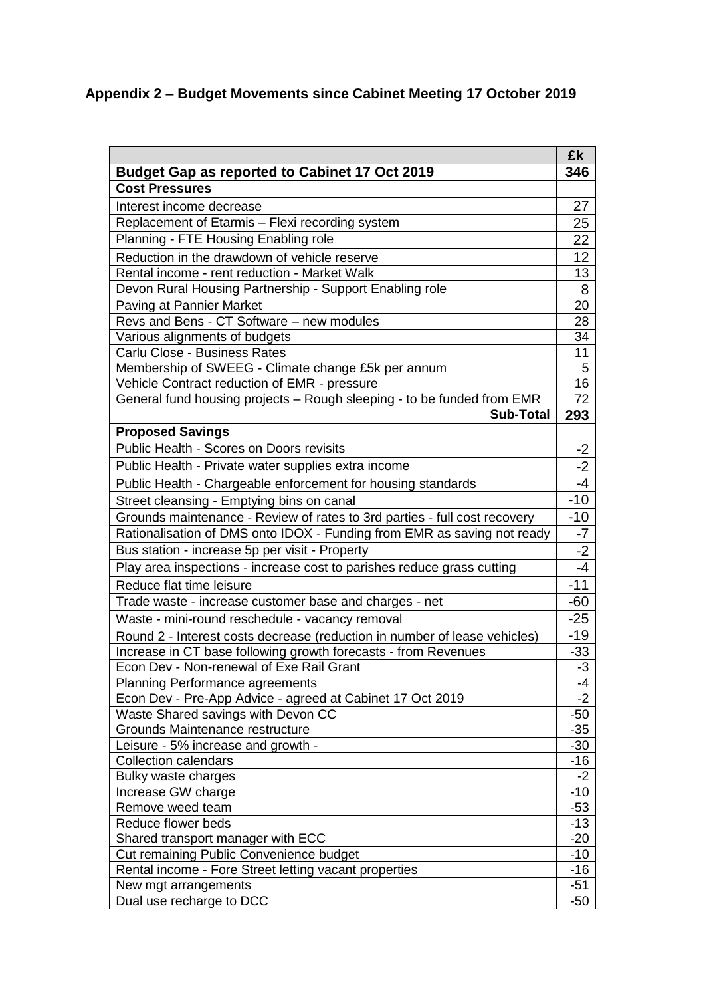## **Appendix 2 – Budget Movements since Cabinet Meeting 17 October 2019**

| <b>Budget Gap as reported to Cabinet 17 Oct 2019</b><br><b>Cost Pressures</b><br>27<br>Interest income decrease<br>Replacement of Etarmis - Flexi recording system<br>25<br>Planning - FTE Housing Enabling role<br>22<br>12<br>Reduction in the drawdown of vehicle reserve<br>Rental income - rent reduction - Market Walk<br>13<br>Devon Rural Housing Partnership - Support Enabling role<br>8<br>Paving at Pannier Market<br>20<br>Revs and Bens - CT Software - new modules<br>28<br>Various alignments of budgets<br>34<br>Carlu Close - Business Rates<br>11<br>Membership of SWEEG - Climate change £5k per annum<br>5<br>16<br>Vehicle Contract reduction of EMR - pressure<br>General fund housing projects - Rough sleeping - to be funded from EMR<br><b>Sub-Total</b><br>293<br><b>Proposed Savings</b><br>Public Health - Scores on Doors revisits<br>$-2$<br>$-2$<br>Public Health - Private water supplies extra income<br>$-4$<br>Public Health - Chargeable enforcement for housing standards<br>$-10$<br>Street cleansing - Emptying bins on canal<br>$-10$<br>Grounds maintenance - Review of rates to 3rd parties - full cost recovery<br>Rationalisation of DMS onto IDOX - Funding from EMR as saving not ready<br>-7 | £k          |
|-----------------------------------------------------------------------------------------------------------------------------------------------------------------------------------------------------------------------------------------------------------------------------------------------------------------------------------------------------------------------------------------------------------------------------------------------------------------------------------------------------------------------------------------------------------------------------------------------------------------------------------------------------------------------------------------------------------------------------------------------------------------------------------------------------------------------------------------------------------------------------------------------------------------------------------------------------------------------------------------------------------------------------------------------------------------------------------------------------------------------------------------------------------------------------------------------------------------------------------------------|-------------|
|                                                                                                                                                                                                                                                                                                                                                                                                                                                                                                                                                                                                                                                                                                                                                                                                                                                                                                                                                                                                                                                                                                                                                                                                                                               | 346         |
|                                                                                                                                                                                                                                                                                                                                                                                                                                                                                                                                                                                                                                                                                                                                                                                                                                                                                                                                                                                                                                                                                                                                                                                                                                               |             |
|                                                                                                                                                                                                                                                                                                                                                                                                                                                                                                                                                                                                                                                                                                                                                                                                                                                                                                                                                                                                                                                                                                                                                                                                                                               |             |
|                                                                                                                                                                                                                                                                                                                                                                                                                                                                                                                                                                                                                                                                                                                                                                                                                                                                                                                                                                                                                                                                                                                                                                                                                                               |             |
|                                                                                                                                                                                                                                                                                                                                                                                                                                                                                                                                                                                                                                                                                                                                                                                                                                                                                                                                                                                                                                                                                                                                                                                                                                               |             |
|                                                                                                                                                                                                                                                                                                                                                                                                                                                                                                                                                                                                                                                                                                                                                                                                                                                                                                                                                                                                                                                                                                                                                                                                                                               |             |
|                                                                                                                                                                                                                                                                                                                                                                                                                                                                                                                                                                                                                                                                                                                                                                                                                                                                                                                                                                                                                                                                                                                                                                                                                                               |             |
|                                                                                                                                                                                                                                                                                                                                                                                                                                                                                                                                                                                                                                                                                                                                                                                                                                                                                                                                                                                                                                                                                                                                                                                                                                               |             |
|                                                                                                                                                                                                                                                                                                                                                                                                                                                                                                                                                                                                                                                                                                                                                                                                                                                                                                                                                                                                                                                                                                                                                                                                                                               |             |
|                                                                                                                                                                                                                                                                                                                                                                                                                                                                                                                                                                                                                                                                                                                                                                                                                                                                                                                                                                                                                                                                                                                                                                                                                                               |             |
|                                                                                                                                                                                                                                                                                                                                                                                                                                                                                                                                                                                                                                                                                                                                                                                                                                                                                                                                                                                                                                                                                                                                                                                                                                               |             |
|                                                                                                                                                                                                                                                                                                                                                                                                                                                                                                                                                                                                                                                                                                                                                                                                                                                                                                                                                                                                                                                                                                                                                                                                                                               |             |
|                                                                                                                                                                                                                                                                                                                                                                                                                                                                                                                                                                                                                                                                                                                                                                                                                                                                                                                                                                                                                                                                                                                                                                                                                                               |             |
|                                                                                                                                                                                                                                                                                                                                                                                                                                                                                                                                                                                                                                                                                                                                                                                                                                                                                                                                                                                                                                                                                                                                                                                                                                               |             |
|                                                                                                                                                                                                                                                                                                                                                                                                                                                                                                                                                                                                                                                                                                                                                                                                                                                                                                                                                                                                                                                                                                                                                                                                                                               | 72          |
|                                                                                                                                                                                                                                                                                                                                                                                                                                                                                                                                                                                                                                                                                                                                                                                                                                                                                                                                                                                                                                                                                                                                                                                                                                               |             |
|                                                                                                                                                                                                                                                                                                                                                                                                                                                                                                                                                                                                                                                                                                                                                                                                                                                                                                                                                                                                                                                                                                                                                                                                                                               |             |
|                                                                                                                                                                                                                                                                                                                                                                                                                                                                                                                                                                                                                                                                                                                                                                                                                                                                                                                                                                                                                                                                                                                                                                                                                                               |             |
|                                                                                                                                                                                                                                                                                                                                                                                                                                                                                                                                                                                                                                                                                                                                                                                                                                                                                                                                                                                                                                                                                                                                                                                                                                               |             |
|                                                                                                                                                                                                                                                                                                                                                                                                                                                                                                                                                                                                                                                                                                                                                                                                                                                                                                                                                                                                                                                                                                                                                                                                                                               |             |
|                                                                                                                                                                                                                                                                                                                                                                                                                                                                                                                                                                                                                                                                                                                                                                                                                                                                                                                                                                                                                                                                                                                                                                                                                                               |             |
|                                                                                                                                                                                                                                                                                                                                                                                                                                                                                                                                                                                                                                                                                                                                                                                                                                                                                                                                                                                                                                                                                                                                                                                                                                               |             |
|                                                                                                                                                                                                                                                                                                                                                                                                                                                                                                                                                                                                                                                                                                                                                                                                                                                                                                                                                                                                                                                                                                                                                                                                                                               |             |
| Bus station - increase 5p per visit - Property<br>$-2$                                                                                                                                                                                                                                                                                                                                                                                                                                                                                                                                                                                                                                                                                                                                                                                                                                                                                                                                                                                                                                                                                                                                                                                        |             |
|                                                                                                                                                                                                                                                                                                                                                                                                                                                                                                                                                                                                                                                                                                                                                                                                                                                                                                                                                                                                                                                                                                                                                                                                                                               |             |
| Play area inspections - increase cost to parishes reduce grass cutting                                                                                                                                                                                                                                                                                                                                                                                                                                                                                                                                                                                                                                                                                                                                                                                                                                                                                                                                                                                                                                                                                                                                                                        | -4          |
| $-11$<br>Reduce flat time leisure                                                                                                                                                                                                                                                                                                                                                                                                                                                                                                                                                                                                                                                                                                                                                                                                                                                                                                                                                                                                                                                                                                                                                                                                             |             |
| Trade waste - increase customer base and charges - net<br>-60                                                                                                                                                                                                                                                                                                                                                                                                                                                                                                                                                                                                                                                                                                                                                                                                                                                                                                                                                                                                                                                                                                                                                                                 |             |
| $-25$<br>Waste - mini-round reschedule - vacancy removal                                                                                                                                                                                                                                                                                                                                                                                                                                                                                                                                                                                                                                                                                                                                                                                                                                                                                                                                                                                                                                                                                                                                                                                      |             |
| Round 2 - Interest costs decrease (reduction in number of lease vehicles)                                                                                                                                                                                                                                                                                                                                                                                                                                                                                                                                                                                                                                                                                                                                                                                                                                                                                                                                                                                                                                                                                                                                                                     | -19         |
| Increase in CT base following growth forecasts - from Revenues                                                                                                                                                                                                                                                                                                                                                                                                                                                                                                                                                                                                                                                                                                                                                                                                                                                                                                                                                                                                                                                                                                                                                                                | $-33$       |
| Econ Dev - Non-renewal of Exe Rail Grant                                                                                                                                                                                                                                                                                                                                                                                                                                                                                                                                                                                                                                                                                                                                                                                                                                                                                                                                                                                                                                                                                                                                                                                                      | $-3$        |
| Planning Performance agreements                                                                                                                                                                                                                                                                                                                                                                                                                                                                                                                                                                                                                                                                                                                                                                                                                                                                                                                                                                                                                                                                                                                                                                                                               | -4          |
| Econ Dev - Pre-App Advice - agreed at Cabinet 17 Oct 2019                                                                                                                                                                                                                                                                                                                                                                                                                                                                                                                                                                                                                                                                                                                                                                                                                                                                                                                                                                                                                                                                                                                                                                                     | $-2$        |
| Waste Shared savings with Devon CC                                                                                                                                                                                                                                                                                                                                                                                                                                                                                                                                                                                                                                                                                                                                                                                                                                                                                                                                                                                                                                                                                                                                                                                                            | $-50$       |
| Grounds Maintenance restructure                                                                                                                                                                                                                                                                                                                                                                                                                                                                                                                                                                                                                                                                                                                                                                                                                                                                                                                                                                                                                                                                                                                                                                                                               | $-35$       |
| Leisure - 5% increase and growth -                                                                                                                                                                                                                                                                                                                                                                                                                                                                                                                                                                                                                                                                                                                                                                                                                                                                                                                                                                                                                                                                                                                                                                                                            | -30         |
| <b>Collection calendars</b><br>Bulky waste charges                                                                                                                                                                                                                                                                                                                                                                                                                                                                                                                                                                                                                                                                                                                                                                                                                                                                                                                                                                                                                                                                                                                                                                                            | -16<br>$-2$ |
| Increase GW charge                                                                                                                                                                                                                                                                                                                                                                                                                                                                                                                                                                                                                                                                                                                                                                                                                                                                                                                                                                                                                                                                                                                                                                                                                            | $-10$       |
| Remove weed team                                                                                                                                                                                                                                                                                                                                                                                                                                                                                                                                                                                                                                                                                                                                                                                                                                                                                                                                                                                                                                                                                                                                                                                                                              | $-53$       |
| Reduce flower beds                                                                                                                                                                                                                                                                                                                                                                                                                                                                                                                                                                                                                                                                                                                                                                                                                                                                                                                                                                                                                                                                                                                                                                                                                            | $-13$       |
| Shared transport manager with ECC                                                                                                                                                                                                                                                                                                                                                                                                                                                                                                                                                                                                                                                                                                                                                                                                                                                                                                                                                                                                                                                                                                                                                                                                             | $-20$       |
| Cut remaining Public Convenience budget                                                                                                                                                                                                                                                                                                                                                                                                                                                                                                                                                                                                                                                                                                                                                                                                                                                                                                                                                                                                                                                                                                                                                                                                       | $-10$       |
| Rental income - Fore Street letting vacant properties                                                                                                                                                                                                                                                                                                                                                                                                                                                                                                                                                                                                                                                                                                                                                                                                                                                                                                                                                                                                                                                                                                                                                                                         | $-16$       |
| $-51$<br>New mgt arrangements                                                                                                                                                                                                                                                                                                                                                                                                                                                                                                                                                                                                                                                                                                                                                                                                                                                                                                                                                                                                                                                                                                                                                                                                                 |             |
| Dual use recharge to DCC                                                                                                                                                                                                                                                                                                                                                                                                                                                                                                                                                                                                                                                                                                                                                                                                                                                                                                                                                                                                                                                                                                                                                                                                                      | -50         |